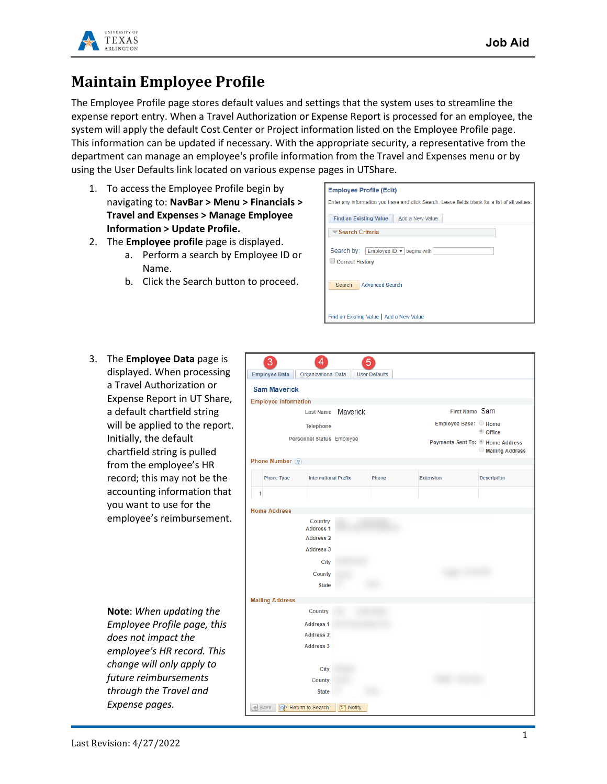

## **Maintain Employee Profile**

The Employee Profile page stores default values and settings that the system uses to streamline the expense report entry. When a Travel Authorization or Expense Report is processed for an employee, the system will apply the default Cost Center or Project information listed on the Employee Profile page. This information can be updated if necessary. With the appropriate security, a representative from the department can manage an employee's profile information from the Travel and Expenses menu or by using the User Defaults link located on various expense pages in UTShare.

- 1. To access the Employee Profile begin by navigating to: **NavBar > Menu > Financials > Travel and Expenses > Manage Employee Information > Update Profile.**
- 2. The **Employee profile** page is displayed.
	- a. Perform a search by Employee ID or Name.
	- b. Click the Search button to proceed.



3. The **Employee Data** page is displayed. When processing a Travel Authorization or Expense Report in UT Share, a default chartfield string will be applied to the report. Initially, the default chartfield string is pulled from the employee's HR record; this may not be the accounting information that you want to use for the employee's reimbursement.

> **Note**: *When updating the Employee Profile page, this does not impact the employee's HR record. This change will only apply to future reimbursements through the Travel and Expense pages.*

| 3<br>4<br>5<br><b>Employee Data</b><br>Organizational Data<br>User Defaults |                                  |                                   |                 |                    |  |  |  |
|-----------------------------------------------------------------------------|----------------------------------|-----------------------------------|-----------------|--------------------|--|--|--|
| <b>Sam Maverick</b>                                                         |                                  |                                   |                 |                    |  |  |  |
| <b>Employee Information</b>                                                 |                                  |                                   |                 |                    |  |  |  |
|                                                                             | Maverick<br><b>Last Name</b>     | First Name Sam                    |                 |                    |  |  |  |
|                                                                             |                                  | Employee Base: Home               |                 |                    |  |  |  |
|                                                                             | <b>Telephone</b>                 |                                   | © Office        |                    |  |  |  |
|                                                                             | <b>Personnel Status Employee</b> | Payments Sent To: If Home Address | Mailing Address |                    |  |  |  |
| Phone Number 2                                                              |                                  |                                   |                 |                    |  |  |  |
| <b>Phone Type</b>                                                           | <b>International Prefix</b>      | Phone                             | Extension       | <b>Description</b> |  |  |  |
| 1                                                                           |                                  |                                   |                 |                    |  |  |  |
| <b>Home Address</b>                                                         |                                  |                                   |                 |                    |  |  |  |
|                                                                             | Country                          |                                   |                 |                    |  |  |  |
|                                                                             | <b>Address 1</b>                 |                                   |                 |                    |  |  |  |
|                                                                             | <b>Address 2</b>                 |                                   |                 |                    |  |  |  |
|                                                                             | <b>Address 3</b>                 |                                   |                 |                    |  |  |  |
| City                                                                        |                                  |                                   |                 |                    |  |  |  |
| <b>County</b>                                                               |                                  |                                   |                 |                    |  |  |  |
| <b>State</b>                                                                |                                  |                                   |                 |                    |  |  |  |
| <b>Mailing Address</b>                                                      |                                  |                                   |                 |                    |  |  |  |
|                                                                             | Country                          |                                   |                 |                    |  |  |  |
|                                                                             | <b>Address 1</b>                 |                                   |                 |                    |  |  |  |
|                                                                             | <b>Address 2</b>                 |                                   |                 |                    |  |  |  |
|                                                                             | <b>Address 3</b>                 |                                   |                 |                    |  |  |  |
|                                                                             | City                             |                                   |                 |                    |  |  |  |
|                                                                             | County                           |                                   |                 |                    |  |  |  |
|                                                                             | <b>State</b>                     |                                   |                 |                    |  |  |  |
|                                                                             |                                  |                                   |                 |                    |  |  |  |
| <b>同</b> Save<br>Return to Search                                           | $\equiv$ Notify                  |                                   |                 |                    |  |  |  |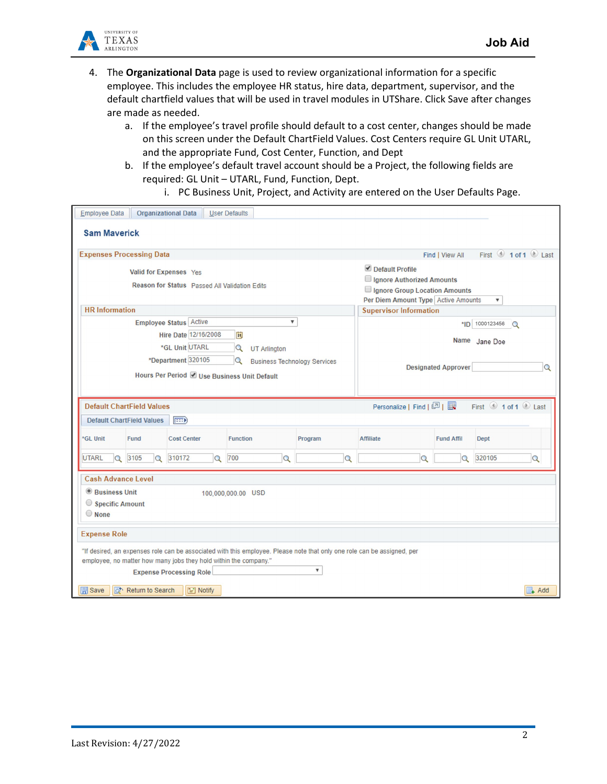

- 4. The **Organizational Data** page is used to review organizational information for a specific employee. This includes the employee HR status, hire data, department, supervisor, and the default chartfield values that will be used in travel modules in UTShare. Click Save after changes are made as needed.
	- a. If the employee's travel profile should default to a cost center, changes should be made on this screen under the Default ChartField Values. Cost Centers require GL Unit UTARL, and the appropriate Fund, Cost Center, Function, and Dept
	- b. If the employee's default travel account should be a Project, the following fields are required: GL Unit – UTARL, Fund, Function, Dept.

i. PC Business Unit, Project, and Activity are entered on the User Defaults Page.

| <b>Employee Data</b>                                                                                                                                                                                                                                       | <b>Organizational Data</b>                                                                                |                    | <b>User Defaults</b> |                 |                                                                                                                           |                                 |                   |                    |
|------------------------------------------------------------------------------------------------------------------------------------------------------------------------------------------------------------------------------------------------------------|-----------------------------------------------------------------------------------------------------------|--------------------|----------------------|-----------------|---------------------------------------------------------------------------------------------------------------------------|---------------------------------|-------------------|--------------------|
| <b>Sam Maverick</b>                                                                                                                                                                                                                                        |                                                                                                           |                    |                      |                 |                                                                                                                           |                                 |                   |                    |
| <b>Expenses Processing Data</b><br>Find   View All                                                                                                                                                                                                         |                                                                                                           |                    |                      |                 |                                                                                                                           |                                 |                   | First 1 of 1 Last  |
| Valid for Expenses Yes<br>Reason for Status Passed All Validation Edits                                                                                                                                                                                    |                                                                                                           |                    |                      |                 | Default Profile<br>Ignore Authorized Amounts<br>Ignore Group Location Amounts<br>Per Diem Amount Type Active Amounts<br>▼ |                                 |                   |                    |
| <b>HR</b> Information                                                                                                                                                                                                                                      |                                                                                                           |                    |                      |                 |                                                                                                                           | <b>Supervisor Information</b>   |                   |                    |
| Employee Status Active<br>$\overline{\mathbf{v}}$<br>Hire Date 12/16/2008<br>E<br>*GL Unit UTARL<br>Q<br><b>UT Arlington</b>                                                                                                                               |                                                                                                           |                    |                      |                 | *ID 1000123456<br>$\circ$<br>Name<br>Jane Doe                                                                             |                                 |                   |                    |
| *Department 320105<br>Q<br><b>Business Technology Services</b><br>Hours Per Period V Use Business Unit Default                                                                                                                                             |                                                                                                           |                    |                      |                 |                                                                                                                           | <b>Designated Approver</b><br>Q |                   |                    |
|                                                                                                                                                                                                                                                            | <b>Default ChartField Values</b><br>Personalize   Find   2    <br>First $\bigcirc$ 1 of 1 $\bigcirc$ Last |                    |                      |                 |                                                                                                                           |                                 |                   |                    |
| <b>Default ChartField Values</b><br>$\boxed{=}$                                                                                                                                                                                                            |                                                                                                           |                    |                      |                 |                                                                                                                           |                                 |                   |                    |
| *GL Unit                                                                                                                                                                                                                                                   | <b>Fund</b>                                                                                               | <b>Cost Center</b> |                      | <b>Function</b> | Program                                                                                                                   | <b>Affiliate</b>                | <b>Fund Affil</b> | <b>Dept</b>        |
| <b>UTARL</b><br>$\Omega$                                                                                                                                                                                                                                   | 3105<br>$\alpha$                                                                                          | 310172             | 700<br>$\alpha$      | $\alpha$        | $\alpha$                                                                                                                  | $\mathbf Q$                     | $\mathbf Q$       | 320105<br>$\alpha$ |
|                                                                                                                                                                                                                                                            | <b>Cash Advance Level</b>                                                                                 |                    |                      |                 |                                                                                                                           |                                 |                   |                    |
| <sup>®</sup> Business Unit<br>100,000,000.00 USD<br>Specific Amount<br>$\bigcirc$ None                                                                                                                                                                     |                                                                                                           |                    |                      |                 |                                                                                                                           |                                 |                   |                    |
| <b>Expense Role</b>                                                                                                                                                                                                                                        |                                                                                                           |                    |                      |                 |                                                                                                                           |                                 |                   |                    |
| "If desired, an expenses role can be associated with this employee. Please note that only one role can be assigned, per<br>employee, no matter how many jobs they hold within the company."<br>$\boldsymbol{\mathrm{v}}$<br><b>Expense Processing Role</b> |                                                                                                           |                    |                      |                 |                                                                                                                           |                                 |                   |                    |
| <b>開</b> Save<br>a <sup>+</sup> Return to Search<br>$\boxed{=}$ Notify<br>$\Box$ Add                                                                                                                                                                       |                                                                                                           |                    |                      |                 |                                                                                                                           |                                 |                   |                    |